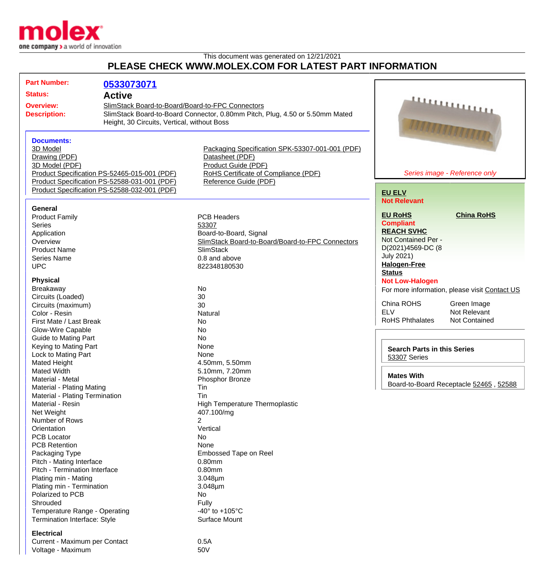

## This document was generated on 12/21/2021 **PLEASE CHECK WWW.MOLEX.COM FOR LATEST PART INFORMATION**

|                     | <b>Part Number:</b>            | 0533073071                                       |                                                                              |                                    |                                               |
|---------------------|--------------------------------|--------------------------------------------------|------------------------------------------------------------------------------|------------------------------------|-----------------------------------------------|
| Status:             |                                | <b>Active</b>                                    |                                                                              |                                    |                                               |
| <b>Overview:</b>    |                                | SlimStack Board-to-Board/Board-to-FPC Connectors |                                                                              |                                    |                                               |
|                     | <b>Description:</b>            |                                                  | SlimStack Board-to-Board Connector, 0.80mm Pitch, Plug, 4.50 or 5.50mm Mated |                                    | <u>annummun</u>                               |
|                     |                                | Height, 30 Circuits, Vertical, without Boss      |                                                                              |                                    |                                               |
|                     |                                |                                                  |                                                                              |                                    |                                               |
|                     |                                |                                                  |                                                                              |                                    | <b>ANAAAAAAAAAAAAA</b>                        |
|                     | <b>Documents:</b>              |                                                  |                                                                              |                                    |                                               |
|                     | 3D Model                       |                                                  | Packaging Specification SPK-53307-001-001 (PDF)                              |                                    |                                               |
|                     | Drawing (PDF)                  |                                                  | Datasheet (PDF)                                                              |                                    |                                               |
|                     | 3D Model (PDF)                 |                                                  | Product Guide (PDF)                                                          |                                    |                                               |
|                     |                                | Product Specification PS-52465-015-001 (PDF)     | RoHS Certificate of Compliance (PDF)                                         |                                    | Series image - Reference only                 |
|                     |                                | Product Specification PS-52588-031-001 (PDF)     | Reference Guide (PDF)                                                        |                                    |                                               |
|                     |                                | Product Specification PS-52588-032-001 (PDF)     |                                                                              | <b>EU ELV</b>                      |                                               |
|                     |                                |                                                  |                                                                              | <b>Not Relevant</b>                |                                               |
|                     | General                        |                                                  |                                                                              |                                    |                                               |
|                     | <b>Product Family</b>          |                                                  | <b>PCB Headers</b>                                                           | <b>EU RoHS</b>                     | <b>China RoHS</b>                             |
|                     | Series                         |                                                  | 53307                                                                        | <b>Compliant</b>                   |                                               |
|                     | Application                    |                                                  | Board-to-Board, Signal                                                       | <b>REACH SVHC</b>                  |                                               |
|                     | Overview                       |                                                  | SlimStack Board-to-Board/Board-to-FPC Connectors                             | Not Contained Per -                |                                               |
|                     | <b>Product Name</b>            |                                                  | <b>SlimStack</b>                                                             | D(2021)4569-DC (8                  |                                               |
|                     | Series Name                    |                                                  | 0.8 and above                                                                | <b>July 2021)</b>                  |                                               |
|                     | <b>UPC</b>                     |                                                  | 822348180530                                                                 | <b>Halogen-Free</b>                |                                               |
|                     |                                |                                                  |                                                                              | <b>Status</b>                      |                                               |
|                     | <b>Physical</b>                |                                                  |                                                                              | <b>Not Low-Halogen</b>             |                                               |
|                     | Breakaway                      |                                                  | <b>No</b>                                                                    |                                    | For more information, please visit Contact US |
|                     | Circuits (Loaded)              |                                                  | 30                                                                           |                                    |                                               |
|                     | Circuits (maximum)             |                                                  | 30                                                                           | China ROHS                         | Green Image                                   |
|                     | Color - Resin                  |                                                  | Natural                                                                      | <b>ELV</b>                         | Not Relevant                                  |
|                     | First Mate / Last Break        |                                                  | <b>No</b>                                                                    | <b>RoHS Phthalates</b>             | <b>Not Contained</b>                          |
|                     | Glow-Wire Capable              |                                                  | No                                                                           |                                    |                                               |
|                     | <b>Guide to Mating Part</b>    |                                                  | <b>No</b>                                                                    |                                    |                                               |
|                     | Keying to Mating Part          |                                                  | None                                                                         | <b>Search Parts in this Series</b> |                                               |
| Lock to Mating Part |                                |                                                  | None                                                                         | 53307 Series                       |                                               |
|                     | Mated Height                   |                                                  | 4.50mm, 5.50mm                                                               |                                    |                                               |
|                     | Mated Width                    |                                                  | 5.10mm, 7.20mm                                                               |                                    |                                               |
| Material - Metal    |                                |                                                  | Phosphor Bronze                                                              | <b>Mates With</b>                  |                                               |
|                     | Material - Plating Mating      |                                                  | Tin                                                                          |                                    | Board-to-Board Receptacle 52465, 52588        |
|                     | Material - Plating Termination |                                                  | Tin                                                                          |                                    |                                               |
|                     | Material - Resin               |                                                  | <b>High Temperature Thermoplastic</b>                                        |                                    |                                               |
|                     | Net Weight                     |                                                  | 407.100/mg                                                                   |                                    |                                               |
|                     | Number of Rows                 |                                                  | 2                                                                            |                                    |                                               |
|                     | Orientation                    |                                                  | Vertical                                                                     |                                    |                                               |
|                     | <b>PCB Locator</b>             |                                                  | No                                                                           |                                    |                                               |
|                     | <b>PCB Retention</b>           |                                                  | None                                                                         |                                    |                                               |
|                     | Packaging Type                 |                                                  | <b>Embossed Tape on Reel</b>                                                 |                                    |                                               |
|                     | Pitch - Mating Interface       |                                                  | 0.80mm                                                                       |                                    |                                               |
|                     | Pitch - Termination Interface  |                                                  | 0.80mm                                                                       |                                    |                                               |
|                     | Plating min - Mating           |                                                  | $3.048 \mu m$                                                                |                                    |                                               |
|                     | Plating min - Termination      |                                                  | $3.048 \mu m$                                                                |                                    |                                               |
|                     | Polarized to PCB               |                                                  | No                                                                           |                                    |                                               |
|                     | Shrouded                       |                                                  | Fully                                                                        |                                    |                                               |
|                     | Temperature Range - Operating  |                                                  | -40 $\degree$ to +105 $\degree$ C                                            |                                    |                                               |
|                     | Termination Interface: Style   |                                                  | Surface Mount                                                                |                                    |                                               |
|                     |                                |                                                  |                                                                              |                                    |                                               |
|                     | <b>Electrical</b>              |                                                  |                                                                              |                                    |                                               |
|                     | Curront Mayimum por Contact    |                                                  | $\bigcap$ $F$ $\bigcap$                                                      |                                    |                                               |

Current - Maximum per Contact 0.5A Voltage - Maximum 60V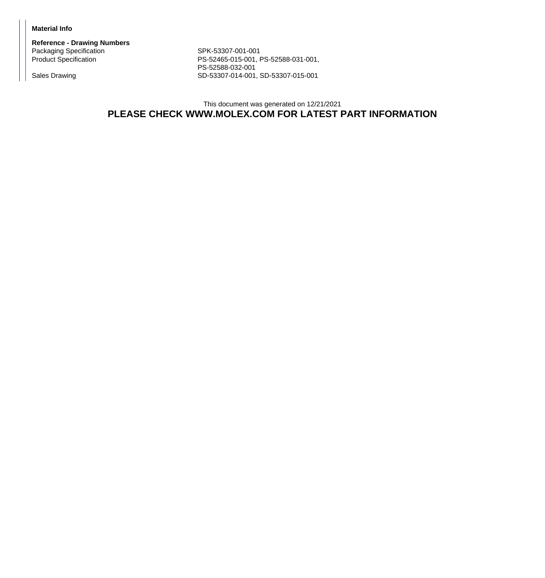## **Material Info**

**Reference - Drawing Numbers** Packaging Specification SPK-53307-001-001<br>Product Specification SPR-52465-015-001, F

PS-52465-015-001, PS-52588-031-001, PS-52588-032-001 Sales Drawing Sales Drawing SD-53307-014-001, SD-53307-015-001

> This document was generated on 12/21/2021 **PLEASE CHECK WWW.MOLEX.COM FOR LATEST PART INFORMATION**